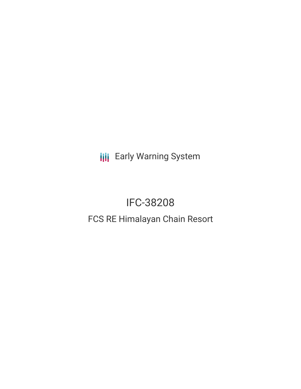**III** Early Warning System

# IFC-38208 FCS RE Himalayan Chain Resort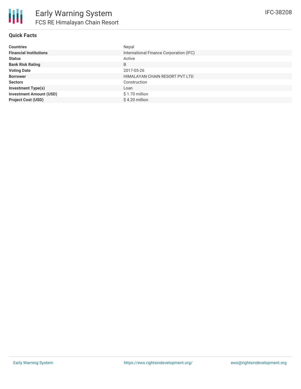

#### **Quick Facts**

| <b>Countries</b>               | Nepal                                   |
|--------------------------------|-----------------------------------------|
| <b>Financial Institutions</b>  | International Finance Corporation (IFC) |
| <b>Status</b>                  | Active                                  |
| <b>Bank Risk Rating</b>        | B                                       |
| <b>Voting Date</b>             | 2017-05-26                              |
| <b>Borrower</b>                | HIMALAYAN CHAIN RESORT PVT LTD          |
| <b>Sectors</b>                 | Construction                            |
| <b>Investment Type(s)</b>      | Loan                                    |
| <b>Investment Amount (USD)</b> | \$1.70 million                          |
| <b>Project Cost (USD)</b>      | \$4.20 million                          |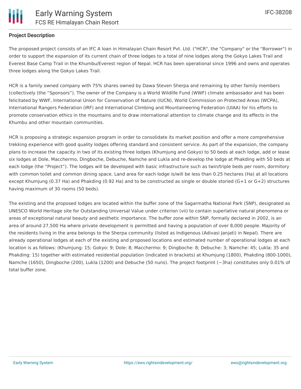### **Project Description**

The proposed project consists of an IFC A loan in Himalayan Chain Resort Pvt. Ltd. ("HCR", the "Company" or the "Borrower") in order to support the expansion of its current chain of three lodges to a total of nine lodges along the Gokyo Lakes Trail and Everest Base Camp Trail in the Khumbu/Everest region of Nepal. HCR has been operational since 1996 and owns and operates three lodges along the Gokyo Lakes Trail.

HCR is a family owned company with 75% shares owned by Dawa Steven Sherpa and remaining by other family members (collectively (the "Sponsors"). The owner of the Company is a World Wildlife Fund (WWF) climate ambassador and has been felicitated by WWF, International Union for Conservation of Nature (IUCN), World Commission on Protected Areas (WCPA), International Rangers Federation (IRF) and International Climbing and Mountaineering Federation (UIAA) for his efforts to promote conservation ethics in the mountains and to draw international attention to climate change and its effects in the Khumbu and other mountain communities.

HCR is proposing a strategic expansion program in order to consolidate its market position and offer a more comprehensive trekking experience with good quality lodges offering standard and consistent service. As part of the expansion, the company plans to increase the capacity in two of its existing three lodges (Khumjung and Gokyo) to 50 beds at each lodge, add or lease six lodges at Dole, Macchermo, Dingboche, Debuche, Namche and Lukla and re-develop the lodge at Phakding with 50 beds at each lodge (the "Project"). The lodges will be developed with basic infrastructure such as twin/triple beds per room, dormitory with common toilet and common dining space. Land area for each lodge is/will be less than 0.25 hectares (Ha) at all locations except Khumjung (0.37 Ha) and Phakding (0.92 Ha) and to be constructed as single or double storied (G+1 or G+2) structures having maximum of 30 rooms (50 beds).

The existing and the proposed lodges are located within the buffer zone of the Sagarmatha National Park (SNP), designated as UNESCO World Heritage site for Outstanding Universal Value under criterion (vii) to contain superlative natural phenomena or areas of exceptional natural beauty and aesthetic importance. The buffer zone within SNP, formally declared in 2002, is an area of around 27,500 Ha where private development is permitted and having a population of over 8,000 people. Majority of the residents living in the area belongs to the Sherpa community (listed as Indigenous (Adivasi Janjati) in Nepal). There are already operational lodges at each of the existing and proposed locations and estimated number of operational lodges at each location is as follows: (Khumjung: 15; Gokyo: 9; Dole: 8; Macchermo: 9; Dingboche: 8; Debuche: 3; Namche: 45; Lukla: 35 and Phakding: 15) together with estimated residential population (indicated in brackets) at Khumjung (1800), Phakding (800-1000), Namche (1650), Dingboche (200), Lukla (1200) and Debuche (50 nuns). The project footprint (~3ha) constitutes only 0.01% of total buffer zone.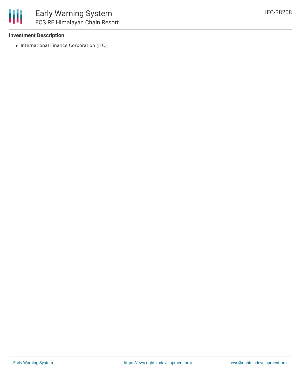

#### **Investment Description**

• International Finance Corporation (IFC)